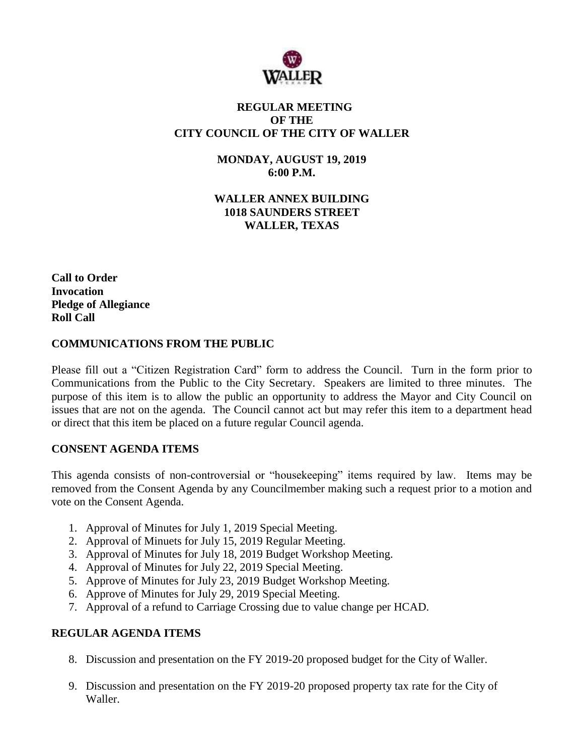

# **REGULAR MEETING OF THE CITY COUNCIL OF THE CITY OF WALLER**

**MONDAY, AUGUST 19, 2019 6:00 P.M.**

**WALLER ANNEX BUILDING 1018 SAUNDERS STREET WALLER, TEXAS**

**Call to Order Invocation Pledge of Allegiance Roll Call**

## **COMMUNICATIONS FROM THE PUBLIC**

Please fill out a "Citizen Registration Card" form to address the Council. Turn in the form prior to Communications from the Public to the City Secretary. Speakers are limited to three minutes. The purpose of this item is to allow the public an opportunity to address the Mayor and City Council on issues that are not on the agenda. The Council cannot act but may refer this item to a department head or direct that this item be placed on a future regular Council agenda.

# **CONSENT AGENDA ITEMS**

This agenda consists of non-controversial or "housekeeping" items required by law. Items may be removed from the Consent Agenda by any Councilmember making such a request prior to a motion and vote on the Consent Agenda.

- 1. Approval of Minutes for July 1, 2019 Special Meeting.
- 2. Approval of Minuets for July 15, 2019 Regular Meeting.
- 3. Approval of Minutes for July 18, 2019 Budget Workshop Meeting.
- 4. Approval of Minutes for July 22, 2019 Special Meeting.
- 5. Approve of Minutes for July 23, 2019 Budget Workshop Meeting.
- 6. Approve of Minutes for July 29, 2019 Special Meeting.
- 7. Approval of a refund to Carriage Crossing due to value change per HCAD.

## **REGULAR AGENDA ITEMS**

- 8. Discussion and presentation on the FY 2019-20 proposed budget for the City of Waller.
- 9. Discussion and presentation on the FY 2019-20 proposed property tax rate for the City of Waller.